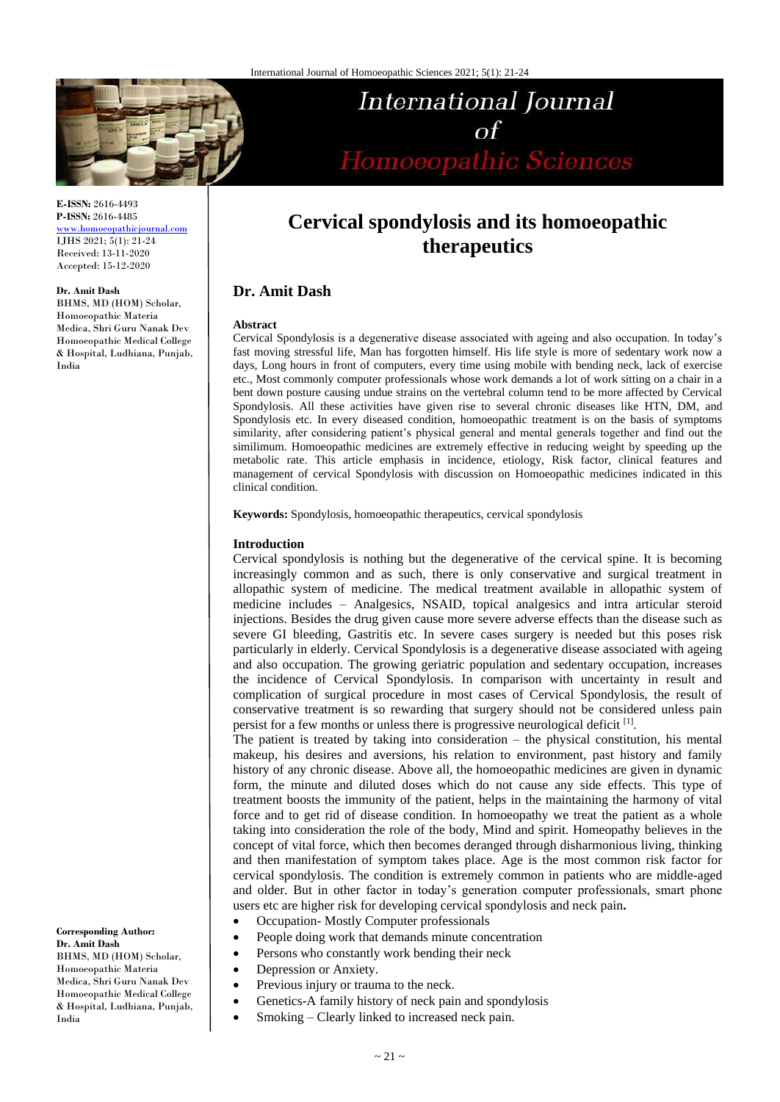

# International Journal  $\alpha f$ Homoeopathic Sciences

**E-ISSN:** 2616-4493 **P-ISSN:** 2616-4485 [www.homoeopathicjournal.com](file://///Server/test/homoeopathicjournal/issue/vol%204/issue%201/www.homoeopathicjournal.com)

IJHS 2021; 5(1): 21-24 Received: 13-11-2020 Accepted: 15-12-2020

#### **Dr. Amit Dash**

BHMS, MD (HOM) Scholar, Homoeopathic Materia Medica, Shri Guru Nanak Dev Homoeopathic Medical College & Hospital, Ludhiana, Punjab, India

**Cervical spondylosis and its homoeopathic therapeutics**

# **Dr. Amit Dash**

#### **Abstract**

Cervical Spondylosis is a degenerative disease associated with ageing and also occupation. In today's fast moving stressful life, Man has forgotten himself. His life style is more of sedentary work now a days, Long hours in front of computers, every time using mobile with bending neck, lack of exercise etc., Most commonly computer professionals whose work demands a lot of work sitting on a chair in a bent down posture causing undue strains on the vertebral column tend to be more affected by Cervical Spondylosis. All these activities have given rise to several chronic diseases like HTN, DM, and Spondylosis etc. In every diseased condition, homoeopathic treatment is on the basis of symptoms similarity, after considering patient's physical general and mental generals together and find out the similimum. Homoeopathic medicines are extremely effective in reducing weight by speeding up the metabolic rate. This article emphasis in incidence, etiology, Risk factor, clinical features and management of cervical Spondylosis with discussion on Homoeopathic medicines indicated in this clinical condition.

**Keywords:** Spondylosis, homoeopathic therapeutics, cervical spondylosis

#### **Introduction**

Cervical spondylosis is nothing but the degenerative of the cervical spine. It is becoming increasingly common and as such, there is only conservative and surgical treatment in allopathic system of medicine. The medical treatment available in allopathic system of medicine includes – Analgesics, NSAID, topical analgesics and intra articular steroid injections. Besides the drug given cause more severe adverse effects than the disease such as severe GI bleeding, Gastritis etc. In severe cases surgery is needed but this poses risk particularly in elderly. Cervical Spondylosis is a degenerative disease associated with ageing and also occupation. The growing geriatric population and sedentary occupation, increases the incidence of Cervical Spondylosis. In comparison with uncertainty in result and complication of surgical procedure in most cases of Cervical Spondylosis, the result of conservative treatment is so rewarding that surgery should not be considered unless pain persist for a few months or unless there is progressive neurological deficit [1].

The patient is treated by taking into consideration – the physical constitution, his mental makeup, his desires and aversions, his relation to environment, past history and family history of any chronic disease. Above all, the homoeopathic medicines are given in dynamic form, the minute and diluted doses which do not cause any side effects. This type of treatment boosts the immunity of the patient, helps in the maintaining the harmony of vital force and to get rid of disease condition. In homoeopathy we treat the patient as a whole taking into consideration the role of the body, Mind and spirit. Homeopathy believes in the concept of vital force, which then becomes deranged through disharmonious living, thinking and then manifestation of symptom takes place. Age is the most common risk factor for cervical spondylosis. The condition is extremely common in patients who are middle-aged and older. But in other factor in today's generation computer professionals, smart phone users etc are higher risk for developing cervical spondylosis and neck pain**.**

- Occupation- Mostly Computer professionals
- People doing work that demands minute concentration
- Persons who constantly work bending their neck
- Depression or Anxiety.
- Previous injury or trauma to the neck.
- Genetics-A family history of neck pain and spondylosis
- Smoking Clearly linked to increased neck pain.

**Corresponding Author: Dr. Amit Dash** BHMS, MD (HOM) Scholar, Homoeopathic Materia Medica, Shri Guru Nanak Dev Homoeopathic Medical College & Hospital, Ludhiana, Punjab, India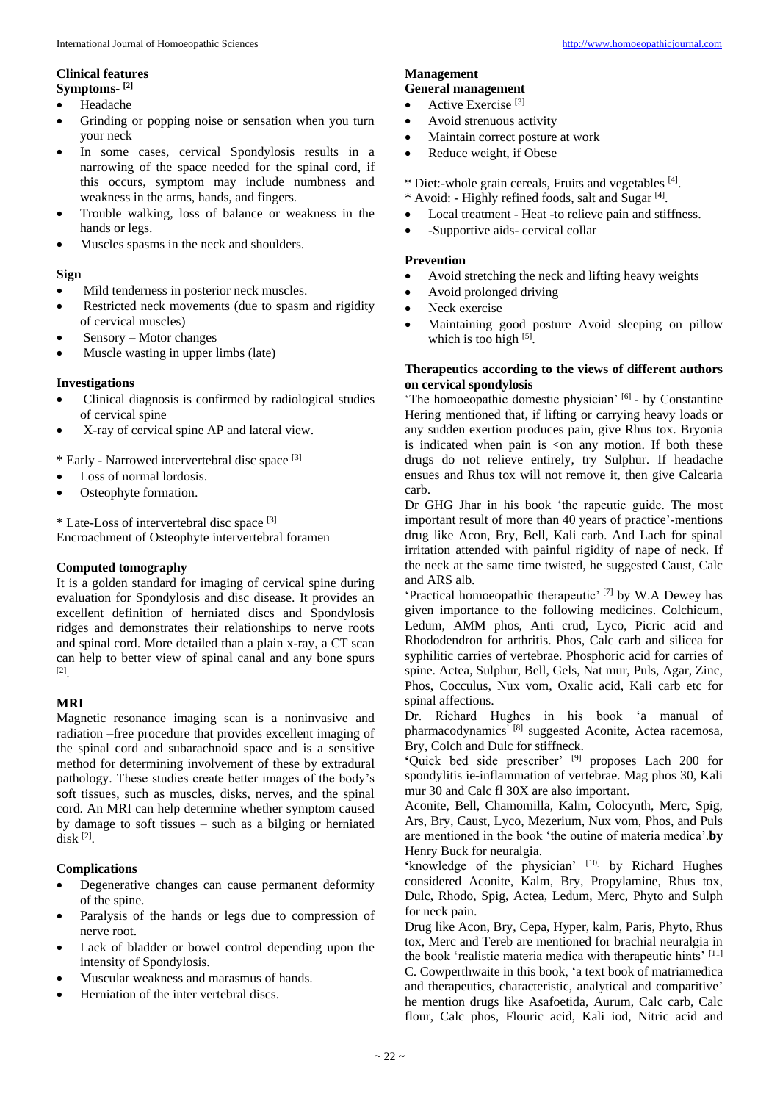## **Clinical features Symptoms- [2]**

- Headache
- Grinding or popping noise or sensation when you turn your neck
- In some cases, cervical Spondylosis results in a narrowing of the space needed for the spinal cord, if this occurs, symptom may include numbness and weakness in the arms, hands, and fingers.
- Trouble walking, loss of balance or weakness in the hands or legs.
- Muscles spasms in the neck and shoulders.

## **Sign**

- Mild tenderness in posterior neck muscles.
- Restricted neck movements (due to spasm and rigidity of cervical muscles)
- Sensory Motor changes
- Muscle wasting in upper limbs (late)

# **Investigations**

- Clinical diagnosis is confirmed by radiological studies of cervical spine
- X-ray of cervical spine AP and lateral view.

\* Early - Narrowed intervertebral disc space [3]

- Loss of normal lordosis.
- Osteophyte formation.

\* Late-Loss of intervertebral disc space [3] Encroachment of Osteophyte intervertebral foramen

### **Computed tomography**

It is a golden standard for imaging of cervical spine during evaluation for Spondylosis and disc disease. It provides an excellent definition of herniated discs and Spondylosis ridges and demonstrates their relationships to nerve roots and spinal cord. More detailed than a plain x-ray, a CT scan can help to better view of spinal canal and any bone spurs [2] .

# **MRI**

Magnetic resonance imaging scan is a noninvasive and radiation –free procedure that provides excellent imaging of the spinal cord and subarachnoid space and is a sensitive method for determining involvement of these by extradural pathology. These studies create better images of the body's soft tissues, such as muscles, disks, nerves, and the spinal cord. An MRI can help determine whether symptom caused by damage to soft tissues – such as a bilging or herniated disk [2] .

# **Complications**

- Degenerative changes can cause permanent deformity of the spine.
- Paralysis of the hands or legs due to compression of nerve root.
- Lack of bladder or bowel control depending upon the intensity of Spondylosis.
- Muscular weakness and marasmus of hands.
- Herniation of the inter vertebral discs.

#### **Management General management**

- Active Exercise<sup>[3]</sup>
- Avoid strenuous activity
- Maintain correct posture at work
- Reduce weight, if Obese

\* Diet:-whole grain cereals, Fruits and vegetables [4].

- \* Avoid: Highly refined foods, salt and Sugar [4] . • Local treatment - Heat -to relieve pain and stiffness.
- -Supportive aids- cervical collar

## **Prevention**

- Avoid stretching the neck and lifting heavy weights
- Avoid prolonged driving
- Neck exercise
- Maintaining good posture Avoid sleeping on pillow which is too high [5].

## **Therapeutics according to the views of different authors on cervical spondylosis**

'The homoeopathic domestic physician' <sup>[6]</sup> - by Constantine Hering mentioned that, if lifting or carrying heavy loads or any sudden exertion produces pain, give Rhus tox. Bryonia is indicated when pain is  $\leq$  any motion. If both these drugs do not relieve entirely, try Sulphur. If headache ensues and Rhus tox will not remove it, then give Calcaria carb.

Dr GHG Jhar in his book 'the rapeutic guide. The most important result of more than 40 years of practice'-mentions drug like Acon, Bry, Bell, Kali carb. And Lach for spinal irritation attended with painful rigidity of nape of neck. If the neck at the same time twisted, he suggested Caust, Calc and ARS alb.

'Practical homoeopathic therapeutic' [7] by W.A Dewey has given importance to the following medicines. Colchicum, Ledum, AMM phos, Anti crud, Lyco, Picric acid and Rhododendron for arthritis. Phos, Calc carb and silicea for syphilitic carries of vertebrae. Phosphoric acid for carries of spine. Actea, Sulphur, Bell, Gels, Nat mur, Puls, Agar, Zinc, Phos, Cocculus, Nux vom, Oxalic acid, Kali carb etc for spinal affections.

Dr. Richard Hughes in his book 'a manual of pharmacodynamics<sup>' [8]</sup> suggested Aconite, Actea racemosa, Bry, Colch and Dulc for stiffneck.

**'**Quick bed side prescriber' [9] proposes Lach 200 for spondylitis ie-inflammation of vertebrae. Mag phos 30, Kali mur 30 and Calc fl 30X are also important.

Aconite, Bell, Chamomilla, Kalm, Colocynth, Merc, Spig, Ars, Bry, Caust, Lyco, Mezerium, Nux vom, Phos, and Puls are mentioned in the book 'the outine of materia medica'.**by**  Henry Buck for neuralgia.

**'**knowledge of the physician' [10] by Richard Hughes considered Aconite, Kalm, Bry, Propylamine, Rhus tox, Dulc, Rhodo, Spig, Actea, Ledum, Merc, Phyto and Sulph for neck pain.

Drug like Acon, Bry, Cepa, Hyper, kalm, Paris, Phyto, Rhus tox, Merc and Tereb are mentioned for brachial neuralgia in the book 'realistic materia medica with therapeutic hints' [11] C. Cowperthwaite in this book, 'a text book of matriamedica and therapeutics, characteristic, analytical and comparitive' he mention drugs like Asafoetida, Aurum, Calc carb, Calc flour, Calc phos, Flouric acid, Kali iod, Nitric acid and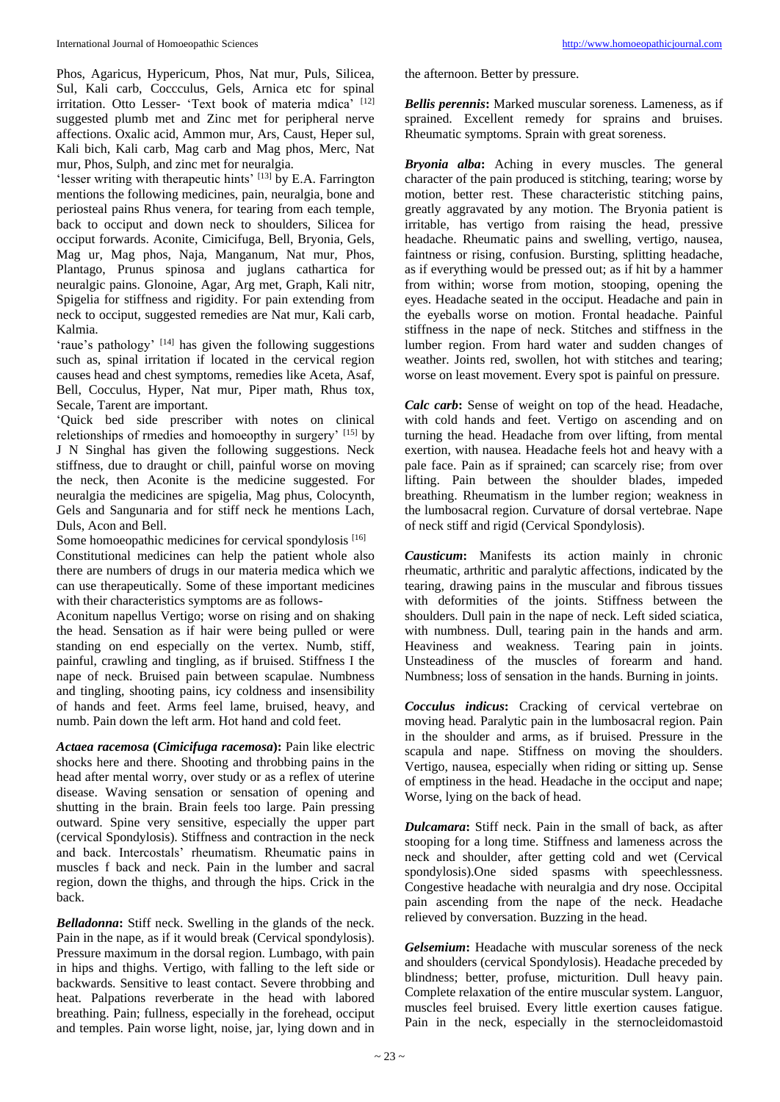Phos, Agaricus, Hypericum, Phos, Nat mur, Puls, Silicea, Sul, Kali carb, Coccculus, Gels, Arnica etc for spinal irritation. Otto Lesser- 'Text book of materia mdica' [12] suggested plumb met and Zinc met for peripheral nerve affections. Oxalic acid, Ammon mur, Ars, Caust, Heper sul, Kali bich, Kali carb, Mag carb and Mag phos, Merc, Nat mur, Phos, Sulph, and zinc met for neuralgia.

'lesser writing with therapeutic hints' [13] by E.A. Farrington mentions the following medicines, pain, neuralgia, bone and periosteal pains Rhus venera, for tearing from each temple, back to occiput and down neck to shoulders, Silicea for occiput forwards. Aconite, Cimicifuga, Bell, Bryonia, Gels, Mag ur, Mag phos, Naja, Manganum, Nat mur, Phos, Plantago, Prunus spinosa and juglans cathartica for neuralgic pains. Glonoine, Agar, Arg met, Graph, Kali nitr, Spigelia for stiffness and rigidity. For pain extending from neck to occiput, suggested remedies are Nat mur, Kali carb, Kalmia.

'raue's pathology' [14] has given the following suggestions such as, spinal irritation if located in the cervical region causes head and chest symptoms, remedies like Aceta, Asaf, Bell, Cocculus, Hyper, Nat mur, Piper math, Rhus tox, Secale, Tarent are important.

'Quick bed side prescriber with notes on clinical reletionships of rmedies and homoeopthy in surgery' [15] by J N Singhal has given the following suggestions. Neck stiffness, due to draught or chill, painful worse on moving the neck, then Aconite is the medicine suggested. For neuralgia the medicines are spigelia, Mag phus, Colocynth, Gels and Sangunaria and for stiff neck he mentions Lach, Duls, Acon and Bell.

Some homoeopathic medicines for cervical spondylosis<sup>[16]</sup> Constitutional medicines can help the patient whole also there are numbers of drugs in our materia medica which we can use therapeutically. Some of these important medicines with their characteristics symptoms are as follows-

Aconitum napellus Vertigo; worse on rising and on shaking the head. Sensation as if hair were being pulled or were standing on end especially on the vertex. Numb, stiff, painful, crawling and tingling, as if bruised. Stiffness I the nape of neck. Bruised pain between scapulae. Numbness and tingling, shooting pains, icy coldness and insensibility of hands and feet. Arms feel lame, bruised, heavy, and numb. Pain down the left arm. Hot hand and cold feet.

*Actaea racemosa* **(***Cimicifuga racemosa***):** Pain like electric shocks here and there. Shooting and throbbing pains in the head after mental worry, over study or as a reflex of uterine disease. Waving sensation or sensation of opening and shutting in the brain. Brain feels too large. Pain pressing outward. Spine very sensitive, especially the upper part (cervical Spondylosis). Stiffness and contraction in the neck and back. Intercostals' rheumatism. Rheumatic pains in muscles f back and neck. Pain in the lumber and sacral region, down the thighs, and through the hips. Crick in the back.

*Belladonna***:** Stiff neck. Swelling in the glands of the neck. Pain in the nape, as if it would break (Cervical spondylosis). Pressure maximum in the dorsal region. Lumbago, with pain in hips and thighs. Vertigo, with falling to the left side or backwards. Sensitive to least contact. Severe throbbing and heat. Palpations reverberate in the head with labored breathing. Pain; fullness, especially in the forehead, occiput and temples. Pain worse light, noise, jar, lying down and in the afternoon. Better by pressure.

*Bellis perennis***:** Marked muscular soreness. Lameness, as if sprained. Excellent remedy for sprains and bruises. Rheumatic symptoms. Sprain with great soreness.

*Bryonia alba***:** Aching in every muscles. The general character of the pain produced is stitching, tearing; worse by motion, better rest. These characteristic stitching pains, greatly aggravated by any motion. The Bryonia patient is irritable, has vertigo from raising the head, pressive headache. Rheumatic pains and swelling, vertigo, nausea, faintness or rising, confusion. Bursting, splitting headache, as if everything would be pressed out; as if hit by a hammer from within; worse from motion, stooping, opening the eyes. Headache seated in the occiput. Headache and pain in the eyeballs worse on motion. Frontal headache. Painful stiffness in the nape of neck. Stitches and stiffness in the lumber region. From hard water and sudden changes of weather. Joints red, swollen, hot with stitches and tearing; worse on least movement. Every spot is painful on pressure.

*Calc carb***:** Sense of weight on top of the head. Headache, with cold hands and feet. Vertigo on ascending and on turning the head. Headache from over lifting, from mental exertion, with nausea. Headache feels hot and heavy with a pale face. Pain as if sprained; can scarcely rise; from over lifting. Pain between the shoulder blades, impeded breathing. Rheumatism in the lumber region; weakness in the lumbosacral region. Curvature of dorsal vertebrae. Nape of neck stiff and rigid (Cervical Spondylosis).

*Causticum***:** Manifests its action mainly in chronic rheumatic, arthritic and paralytic affections, indicated by the tearing, drawing pains in the muscular and fibrous tissues with deformities of the joints. Stiffness between the shoulders. Dull pain in the nape of neck. Left sided sciatica, with numbness. Dull, tearing pain in the hands and arm. Heaviness and weakness. Tearing pain in joints. Unsteadiness of the muscles of forearm and hand. Numbness; loss of sensation in the hands. Burning in joints.

*Cocculus indicus***:** Cracking of cervical vertebrae on moving head. Paralytic pain in the lumbosacral region. Pain in the shoulder and arms, as if bruised. Pressure in the scapula and nape. Stiffness on moving the shoulders. Vertigo, nausea, especially when riding or sitting up. Sense of emptiness in the head. Headache in the occiput and nape; Worse, lying on the back of head.

*Dulcamara***:** Stiff neck. Pain in the small of back, as after stooping for a long time. Stiffness and lameness across the neck and shoulder, after getting cold and wet (Cervical spondylosis).One sided spasms with speechlessness. Congestive headache with neuralgia and dry nose. Occipital pain ascending from the nape of the neck. Headache relieved by conversation. Buzzing in the head.

*Gelsemium***:** Headache with muscular soreness of the neck and shoulders (cervical Spondylosis). Headache preceded by blindness; better, profuse, micturition. Dull heavy pain. Complete relaxation of the entire muscular system. Languor, muscles feel bruised. Every little exertion causes fatigue. Pain in the neck, especially in the sternocleidomastoid